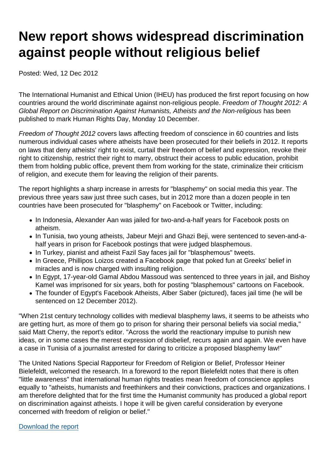# New report shows widespread discrimination against people without religious belief

Posted: Wed, 12 Dec 2012

The International Humanist and Ethical Union (IHEU) has produced the first report focusing on how countries around the world discriminate against non-religious people. Freedom of Thought 2012: A Global Report on Discrimination Against Humanists, Atheists and the Non-religious has been published to mark Human Rights Day, Monday 10 December.

Freedom of Thought 2012 covers laws affecting freedom of conscience in 60 countries and lists numerous individual cases where atheists have been prosecuted for their beliefs in 2012. It reports on laws that deny atheists' right to exist, curtail their freedom of belief and expression, revoke their right to citizenship, restrict their right to marry, obstruct their access to public education, prohibit them from holding public office, prevent them from working for the state, criminalize their criticism of religion, and execute them for leaving the religion of their parents.

The report highlights a sharp increase in arrests for "blasphemy" on social media this year. The previous three years saw just three such cases, but in 2012 more than a dozen people in ten countries have been prosecuted for "blasphemy" on Facebook or Twitter, including:

- In Indonesia, Alexander Aan was jailed for two-and-a-half years for Facebook posts on atheism.
- In Tunisia, two young atheists, Jabeur Mejri and Ghazi Beji, were sentenced to seven-and-ahalf years in prison for Facebook postings that were judged blasphemous.
- In Turkey, pianist and atheist Fazil Say faces jail for "blasphemous" tweets.
- In Greece, Phillipos Loizos created a Facebook page that poked fun at Greeks' belief in miracles and is now charged with insulting religion.
- In Egypt, 17-year-old Gamal Abdou Massoud was sentenced to three years in jail, and Bishoy Kamel was imprisoned for six years, both for posting "blasphemous" cartoons on Facebook.
- The founder of Egypt's Facebook Atheists, Alber Saber (pictured), faces jail time (he will be sentenced on 12 December 2012).

"When 21st century technology collides with medieval blasphemy laws, it seems to be atheists who are getting hurt, as more of them go to prison for sharing their personal beliefs via social media," said Matt Cherry, the report's editor. "Across the world the reactionary impulse to punish new ideas, or in some cases the merest expression of disbelief, recurs again and again. We even have a case in Tunisia of a journalist arrested for daring to criticize a proposed blasphemy law!"

The United Nations Special Rapporteur for Freedom of Religion or Belief, Professor Heiner Bielefeldt, welcomed the research. In a foreword to the report Bielefeldt notes that there is often "little awareness" that international human rights treaties mean freedom of conscience applies equally to "atheists, humanists and freethinkers and their convictions, practices and organizations. I am therefore delighted that for the first time the Humanist community has produced a global report on discrimination against atheists. I hope it will be given careful consideration by everyone concerned with freedom of religion or belief."